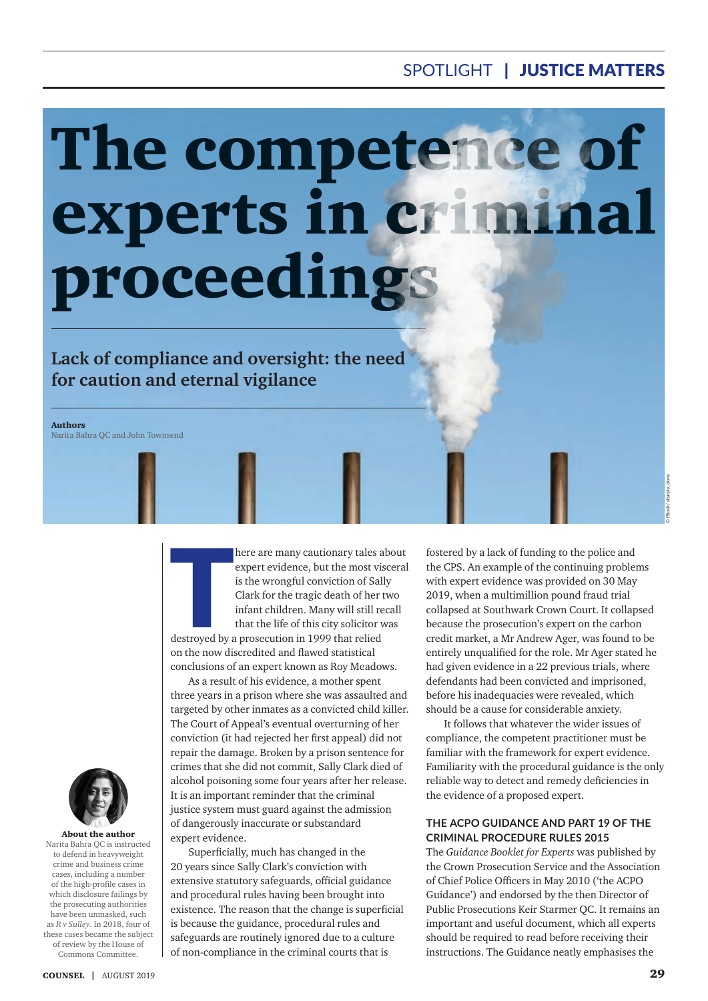## spotlight | JUSTICE MATTERS

# The competence of experts in criminal proceeding

**Lack of compliance and oversight: the need for caution and eternal vigilance**

Authors

Narita Bahra QC and John Townsend

About the author Narita Bahra QC is instructed to defend in heavyweight crime and business crime cases, including a number of the high-profile cases in which disclosure failings by the prosecuting authorities have been unmasked, such as *R v Sulley*. In 2018, four of these cases became the subject of review by the House of Commons Committee.

The strong of the strong strong strong strong strong strong strong strong strong strong strong strong strong strong strong strong strong strong strong strong strong strong strong strong strong strong strong strong strong s here are many cautionary tales about expert evidence, but the most visceral is the wrongful conviction of Sally Clark for the tragic death of her two infant children. Many will still recall that the life of this city solicitor was

destroyed by a prosecution in 1999 that relied on the now discredited and flawed statistical conclusions of an expert known as Roy Meadows.

As a result of his evidence, a mother spent three years in a prison where she was assaulted and targeted by other inmates as a convicted child killer. The Court of Appeal's eventual overturning of her conviction (it had rejected her first appeal) did not repair the damage. Broken by a prison sentence for crimes that she did not commit, Sally Clark died of alcohol poisoning some four years after her release. It is an important reminder that the criminal justice system must guard against the admission of dangerously inaccurate or substandard expert evidence.

Superficially, much has changed in the 20 years since Sally Clark's conviction with extensive statutory safeguards, official guidance and procedural rules having been brought into existence. The reason that the change is superficial is because the guidance, procedural rules and safeguards are routinely ignored due to a culture of non-compliance in the criminal courts that is

fostered by a lack of funding to the police and the CPS. An example of the continuing problems with expert evidence was provided on 30 May 2019, when a multimillion pound fraud trial collapsed at Southwark Crown Court. It collapsed because the prosecution's expert on the carbon credit market, a Mr Andrew Ager, was found to be entirely unqualified for the role. Mr Ager stated he had given evidence in a 22 previous trials, where defendants had been convicted and imprisoned, before his inadequacies were revealed, which should be a cause for considerable anxiety.

It follows that whatever the wider issues of compliance, the competent practitioner must be familiar with the framework for expert evidence. Familiarity with the procedural guidance is the only reliable way to detect and remedy deficiencies in the evidence of a proposed expert.

#### **THE ACPO GUIDANCE AND PART 19 OF THE CRIMINAL PROCEDURE RULES 2015**

The *Guidance Booklet for Experts* was published by the Crown Prosecution Service and the Association of Chief Police Officers in May 2010 ('the ACPO Guidance') and endorsed by the then Director of Public Prosecutions Keir Starmer QC. It remains an important and useful document, which all experts should be required to read before receiving their instructions. The Guidance neatly emphasises the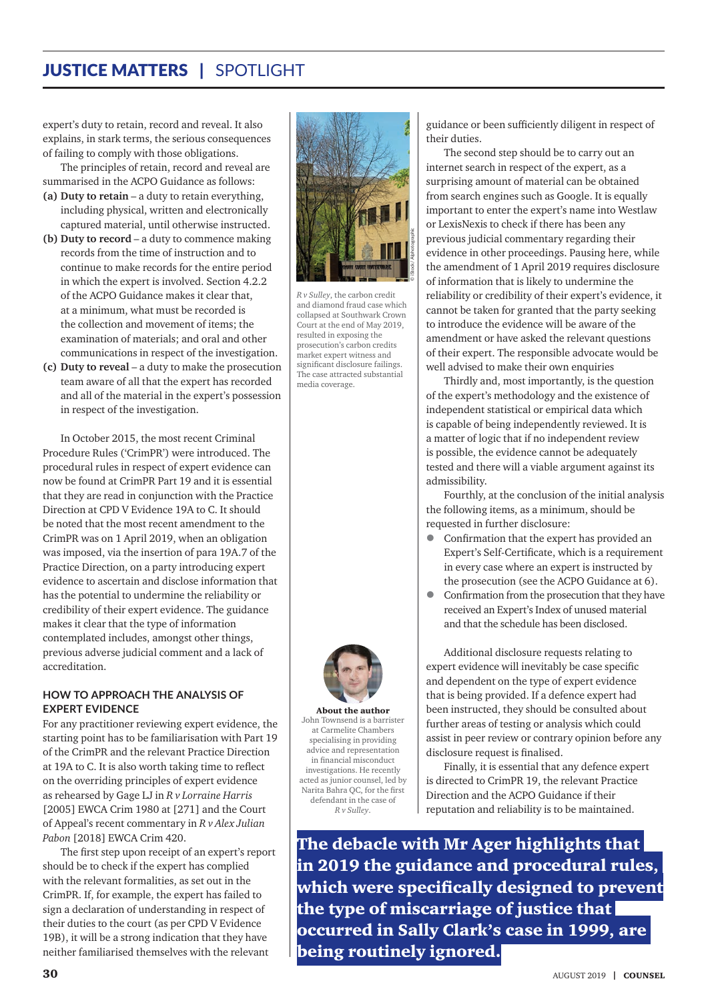## JUSTICE MATTERS | SPOTLIGHT

expert's duty to retain, record and reveal. It also explains, in stark terms, the serious consequences of failing to comply with those obligations.

The principles of retain, record and reveal are summarised in the ACPO Guidance as follows:

- **(a) Duty to retain** a duty to retain everything, including physical, written and electronically captured material, until otherwise instructed.
- **(b) Duty to record** a duty to commence making records from the time of instruction and to continue to make records for the entire period in which the expert is involved. Section 4.2.2 of the ACPO Guidance makes it clear that, at a minimum, what must be recorded is the collection and movement of items; the examination of materials; and oral and other communications in respect of the investigation.
- **(c) Duty to reveal** a duty to make the prosecution team aware of all that the expert has recorded and all of the material in the expert's possession in respect of the investigation.

In October 2015, the most recent Criminal Procedure Rules ('CrimPR') were introduced. The procedural rules in respect of expert evidence can now be found at CrimPR Part 19 and it is essential that they are read in conjunction with the Practice Direction at CPD V Evidence 19A to C. It should be noted that the most recent amendment to the CrimPR was on 1 April 2019, when an obligation was imposed, via the insertion of para 19A.7 of the Practice Direction, on a party introducing expert evidence to ascertain and disclose information that has the potential to undermine the reliability or credibility of their expert evidence. The guidance makes it clear that the type of information contemplated includes, amongst other things, previous adverse judicial comment and a lack of accreditation.

#### **HOW TO APPROACH THE ANALYSIS OF EXPERT EVIDENCE**

For any practitioner reviewing expert evidence, the starting point has to be familiarisation with Part 19 of the CrimPR and the relevant Practice Direction at 19A to C. It is also worth taking time to reflect on the overriding principles of expert evidence as rehearsed by Gage LJ in *R v Lorraine Harris*  [2005] EWCA Crim 1980 at [271] and the Court of Appeal's recent commentary in *R v Alex Julian Pabon* [2018] EWCA Crim 420.

The first step upon receipt of an expert's report should be to check if the expert has complied with the relevant formalities, as set out in the CrimPR. If, for example, the expert has failed to sign a declaration of understanding in respect of their duties to the court (as per CPD V Evidence 19B), it will be a strong indication that they have neither familiarised themselves with the relevant



*R v Sulley*, the carbon credit and diamond fraud case which collapsed at Southwark Crown Court at the end of May 2019, resulted in exposing the prosecution's carbon credits market expert witness and significant disclosure failings. The case attracted substantial media coverage.



About the author John Townsend is a barrister at Carmelite Chambers specialising in providing advice and representation in financial misconduct investigations. He recently acted as junior counsel, led by Narita Bahra QC, for the first defendant in the case of *R v Sulley*.

guidance or been sufficiently diligent in respect of their duties.

The second step should be to carry out an internet search in respect of the expert, as a surprising amount of material can be obtained from search engines such as Google. It is equally important to enter the expert's name into Westlaw or LexisNexis to check if there has been any previous judicial commentary regarding their evidence in other proceedings. Pausing here, while the amendment of 1 April 2019 requires disclosure of information that is likely to undermine the reliability or credibility of their expert's evidence, it cannot be taken for granted that the party seeking to introduce the evidence will be aware of the amendment or have asked the relevant questions of their expert. The responsible advocate would be well advised to make their own enquiries

Thirdly and, most importantly, is the question of the expert's methodology and the existence of independent statistical or empirical data which is capable of being independently reviewed. It is a matter of logic that if no independent review is possible, the evidence cannot be adequately tested and there will a viable argument against its admissibility.

Fourthly, at the conclusion of the initial analysis the following items, as a minimum, should be requested in further disclosure:

- z Confirmation that the expert has provided an Expert's Self-Certificate, which is a requirement in every case where an expert is instructed by the prosecution (see the ACPO Guidance at 6).
- Confirmation from the prosecution that they have received an Expert's Index of unused material and that the schedule has been disclosed.

Additional disclosure requests relating to expert evidence will inevitably be case specific and dependent on the type of expert evidence that is being provided. If a defence expert had been instructed, they should be consulted about further areas of testing or analysis which could assist in peer review or contrary opinion before any disclosure request is finalised.

Finally, it is essential that any defence expert is directed to CrimPR 19, the relevant Practice Direction and the ACPO Guidance if their reputation and reliability is to be maintained.

The debacle with Mr Ager highlights that in 2019 the guidance and procedural rules, which were specifically designed to prevent the type of miscarriage of justice that occurred in Sally Clark's case in 1999, are being routinely ignored.